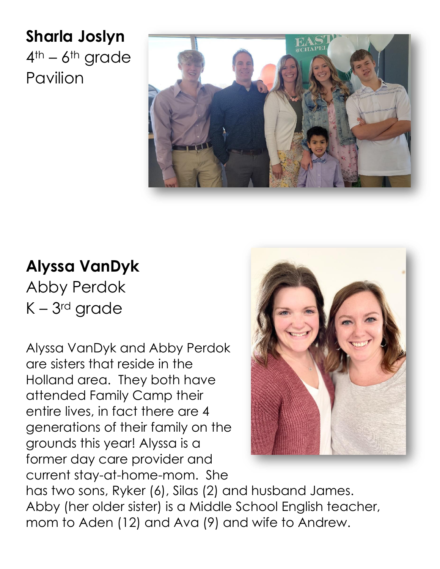**Sharla Joslyn**  $4<sup>th</sup> - 6<sup>th</sup>$  grade Pavilion



## **Alyssa VanDyk**

Abby Perdok K – 3rd grade

Alyssa VanDyk and Abby Perdok are sisters that reside in the Holland area. They both have attended Family Camp their entire lives, in fact there are 4 generations of their family on the grounds this year! Alyssa is a former day care provider and current stay-at-home-mom. She



has two sons, Ryker (6), Silas (2) and husband James. Abby (her older sister) is a Middle School English teacher, mom to Aden (12) and Ava (9) and wife to Andrew.